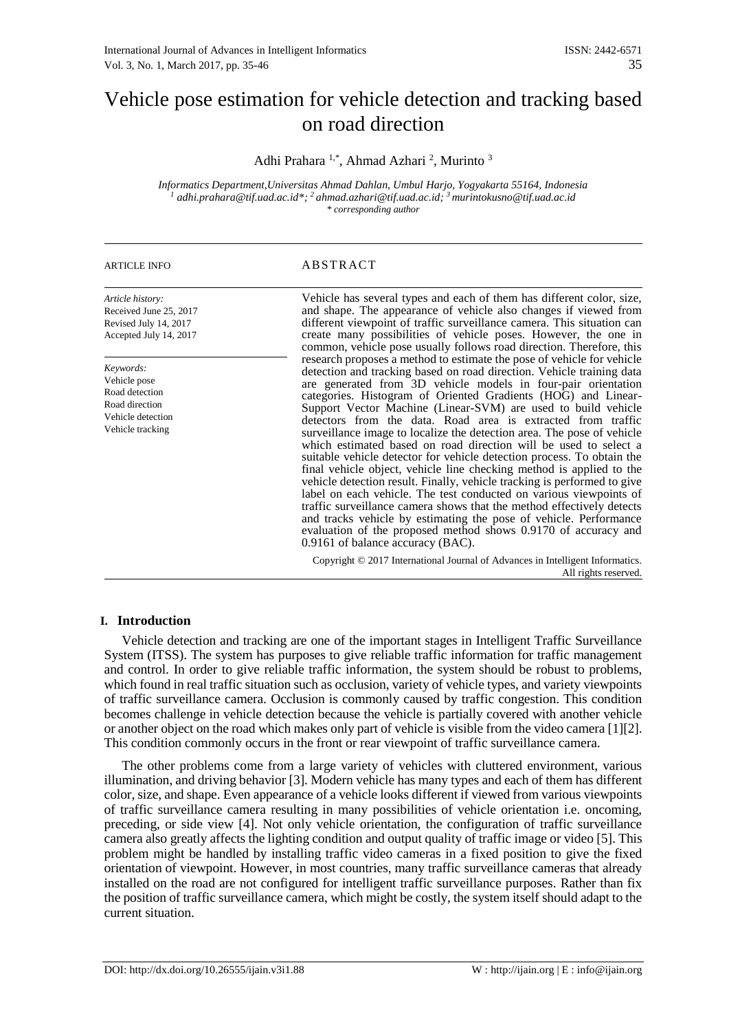# Vehicle pose estimation for vehicle detection and tracking based on road direction

Adhi Prahara<sup>1,\*</sup>, Ahmad Azhari<sup>2</sup>, Murinto<sup>3</sup>

*Informatics Department,Universitas Ahmad Dahlan, Umbul Harjo, Yogyakarta 55164, Indonesia <sup>1</sup> adhi.prahara@tif.uad.ac.id\*; <sup>2</sup>ahmad.azhari@tif.uad.ac.id; <sup>3</sup>murintokusno@tif.uad.ac.id \* corresponding author*

# ARTICLE INFO ABSTRACT

| Article history:<br>Received June 25, 2017<br>Revised July 14, 2017<br>Accepted July 14, 2017          | Vehicle has several types and each of them has different color, size,<br>and shape. The appearance of vehicle also changes if viewed from<br>different viewpoint of traffic surveillance camera. This situation can<br>create many possibilities of vehicle poses. However, the one in<br>common, vehicle pose usually follows road direction. Therefore, this                                                                                                                                                                                                                                                                                                                                                                                                                                                                                                                                                                                                                                                                                                                                                            |
|--------------------------------------------------------------------------------------------------------|---------------------------------------------------------------------------------------------------------------------------------------------------------------------------------------------------------------------------------------------------------------------------------------------------------------------------------------------------------------------------------------------------------------------------------------------------------------------------------------------------------------------------------------------------------------------------------------------------------------------------------------------------------------------------------------------------------------------------------------------------------------------------------------------------------------------------------------------------------------------------------------------------------------------------------------------------------------------------------------------------------------------------------------------------------------------------------------------------------------------------|
| Keywords:<br>Vehicle pose<br>Road detection<br>Road direction<br>Vehicle detection<br>Vehicle tracking | research proposes a method to estimate the pose of vehicle for vehicle<br>detection and tracking based on road direction. Vehicle training data<br>are generated from 3D vehicle models in four-pair orientation<br>categories. Histogram of Oriented Gradients (HOG) and Linear-<br>Support Vector Machine (Linear-SVM) are used to build vehicle<br>detectors from the data. Road area is extracted from traffic<br>surveillance image to localize the detection area. The pose of vehicle<br>which estimated based on road direction will be used to select a<br>suitable vehicle detector for vehicle detection process. To obtain the<br>final vehicle object, vehicle line checking method is applied to the<br>vehicle detection result. Finally, vehicle tracking is performed to give<br>label on each vehicle. The test conducted on various viewpoints of<br>traffic surveillance camera shows that the method effectively detects<br>and tracks vehicle by estimating the pose of vehicle. Performance<br>evaluation of the proposed method shows 0.9170 of accuracy and<br>0.9161 of balance accuracy (BAC). |
|                                                                                                        | Copyright © 2017 International Journal of Advances in Intelligent Informatics.<br>All rights reserved.                                                                                                                                                                                                                                                                                                                                                                                                                                                                                                                                                                                                                                                                                                                                                                                                                                                                                                                                                                                                                    |

### **I. Introduction**

Vehicle detection and tracking are one of the important stages in Intelligent Traffic Surveillance System (ITSS). The system has purposes to give reliable traffic information for traffic management and control. In order to give reliable traffic information, the system should be robust to problems, which found in real traffic situation such as occlusion, variety of vehicle types, and variety viewpoints of traffic surveillance camera. Occlusion is commonly caused by traffic congestion. This condition becomes challenge in vehicle detection because the vehicle is partially covered with another vehicle or another object on the road which makes only part of vehicle is visible from the video camera [1][2]. This condition commonly occurs in the front or rear viewpoint of traffic surveillance camera.

The other problems come from a large variety of vehicles with cluttered environment, various illumination, and driving behavior [3]. Modern vehicle has many types and each of them has different color, size, and shape. Even appearance of a vehicle looks different if viewed from various viewpoints of traffic surveillance camera resulting in many possibilities of vehicle orientation i.e. oncoming, preceding, or side view [4]. Not only vehicle orientation, the configuration of traffic surveillance camera also greatly affects the lighting condition and output quality of traffic image or video [5]. This problem might be handled by installing traffic video cameras in a fixed position to give the fixed orientation of viewpoint. However, in most countries, many traffic surveillance cameras that already installed on the road are not configured for intelligent traffic surveillance purposes. Rather than fix the position of traffic surveillance camera, which might be costly, the system itself should adapt to the current situation.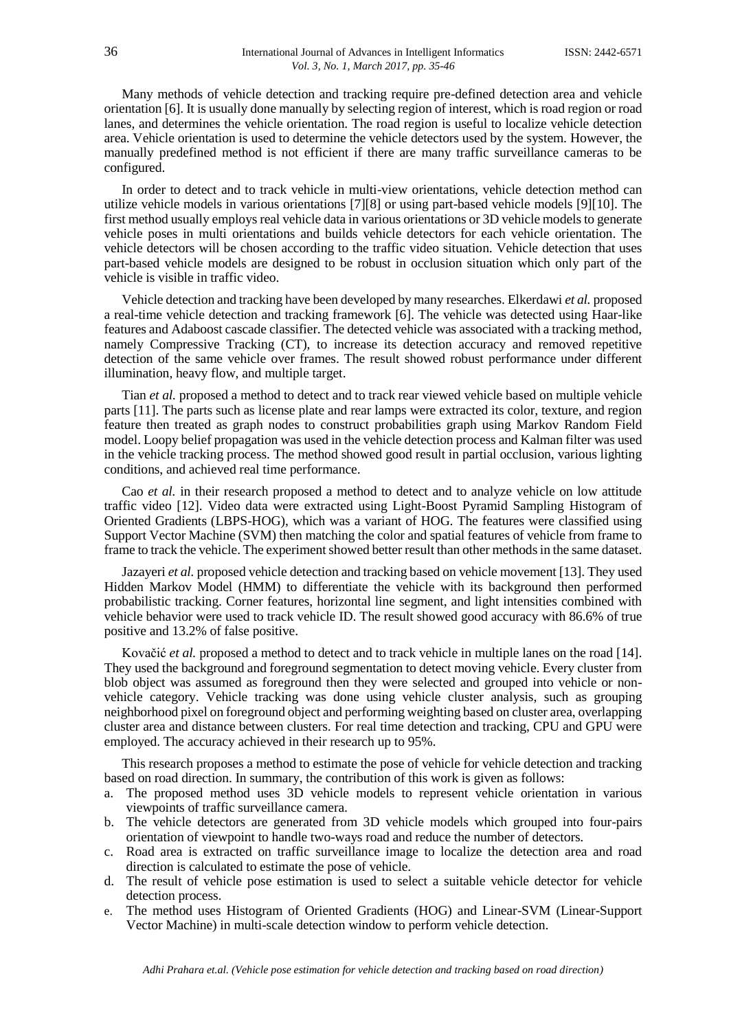Many methods of vehicle detection and tracking require pre-defined detection area and vehicle orientation [6]. It is usually done manually by selecting region of interest, which is road region or road lanes, and determines the vehicle orientation. The road region is useful to localize vehicle detection area. Vehicle orientation is used to determine the vehicle detectors used by the system. However, the manually predefined method is not efficient if there are many traffic surveillance cameras to be configured.

In order to detect and to track vehicle in multi-view orientations, vehicle detection method can utilize vehicle models in various orientations [7][8] or using part-based vehicle models [9][10]. The first method usually employs real vehicle data in various orientations or 3D vehicle models to generate vehicle poses in multi orientations and builds vehicle detectors for each vehicle orientation. The vehicle detectors will be chosen according to the traffic video situation. Vehicle detection that uses part-based vehicle models are designed to be robust in occlusion situation which only part of the vehicle is visible in traffic video.

Vehicle detection and tracking have been developed by many researches. Elkerdawi *et al.* proposed a real-time vehicle detection and tracking framework [6]. The vehicle was detected using Haar-like features and Adaboost cascade classifier. The detected vehicle was associated with a tracking method, namely Compressive Tracking (CT), to increase its detection accuracy and removed repetitive detection of the same vehicle over frames. The result showed robust performance under different illumination, heavy flow, and multiple target.

Tian *et al.* proposed a method to detect and to track rear viewed vehicle based on multiple vehicle parts [11]. The parts such as license plate and rear lamps were extracted its color, texture, and region feature then treated as graph nodes to construct probabilities graph using Markov Random Field model. Loopy belief propagation was used in the vehicle detection process and Kalman filter was used in the vehicle tracking process. The method showed good result in partial occlusion, various lighting conditions, and achieved real time performance.

Cao *et al.* in their research proposed a method to detect and to analyze vehicle on low attitude traffic video [12]. Video data were extracted using Light-Boost Pyramid Sampling Histogram of Oriented Gradients (LBPS-HOG), which was a variant of HOG. The features were classified using Support Vector Machine (SVM) then matching the color and spatial features of vehicle from frame to frame to track the vehicle. The experiment showed better result than other methods in the same dataset.

Jazayeri *et al.* proposed vehicle detection and tracking based on vehicle movement [13]. They used Hidden Markov Model (HMM) to differentiate the vehicle with its background then performed probabilistic tracking. Corner features, horizontal line segment, and light intensities combined with vehicle behavior were used to track vehicle ID. The result showed good accuracy with 86.6% of true positive and 13.2% of false positive.

Kovačić *et al.* proposed a method to detect and to track vehicle in multiple lanes on the road [14]. They used the background and foreground segmentation to detect moving vehicle. Every cluster from blob object was assumed as foreground then they were selected and grouped into vehicle or nonvehicle category. Vehicle tracking was done using vehicle cluster analysis, such as grouping neighborhood pixel on foreground object and performing weighting based on cluster area, overlapping cluster area and distance between clusters. For real time detection and tracking, CPU and GPU were employed. The accuracy achieved in their research up to 95%.

This research proposes a method to estimate the pose of vehicle for vehicle detection and tracking based on road direction. In summary, the contribution of this work is given as follows:

- a. The proposed method uses 3D vehicle models to represent vehicle orientation in various viewpoints of traffic surveillance camera.
- b. The vehicle detectors are generated from 3D vehicle models which grouped into four-pairs orientation of viewpoint to handle two-ways road and reduce the number of detectors.
- c. Road area is extracted on traffic surveillance image to localize the detection area and road direction is calculated to estimate the pose of vehicle.
- d. The result of vehicle pose estimation is used to select a suitable vehicle detector for vehicle detection process.
- e. The method uses Histogram of Oriented Gradients (HOG) and Linear-SVM (Linear-Support Vector Machine) in multi-scale detection window to perform vehicle detection.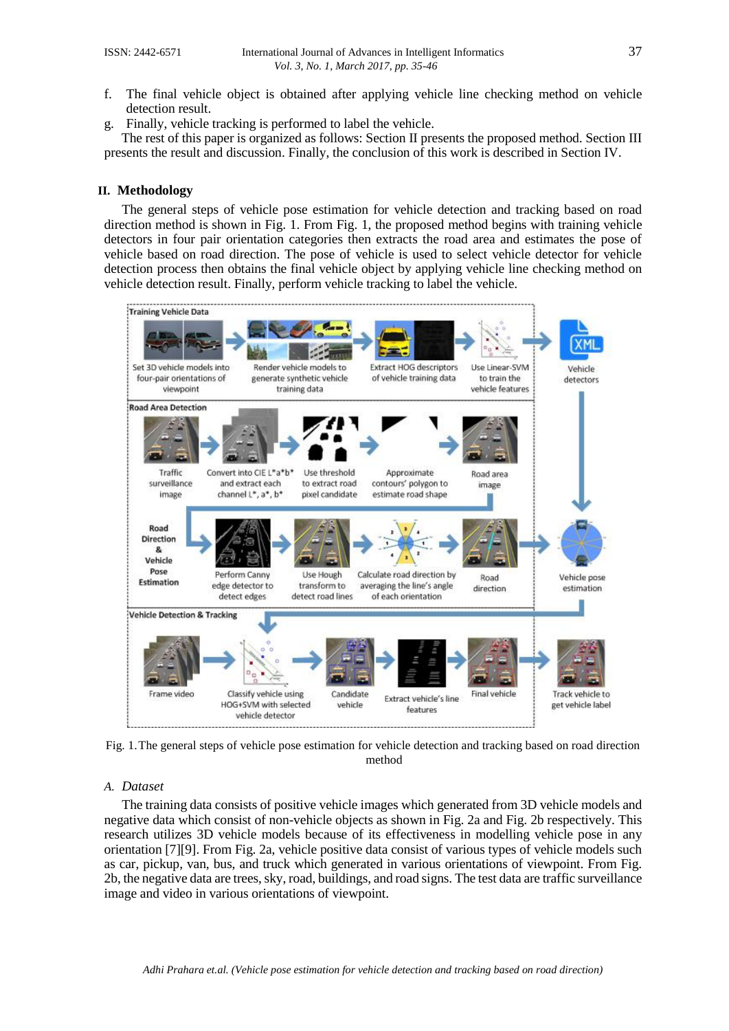- f. The final vehicle object is obtained after applying vehicle line checking method on vehicle detection result.
- g. Finally, vehicle tracking is performed to label the vehicle.

The rest of this paper is organized as follows: Section II presents the proposed method. Section III presents the result and discussion. Finally, the conclusion of this work is described in Section IV.

#### **II. Methodology**

The general steps of vehicle pose estimation for vehicle detection and tracking based on road direction method is shown in Fig. 1. From Fig. 1, the proposed method begins with training vehicle detectors in four pair orientation categories then extracts the road area and estimates the pose of vehicle based on road direction. The pose of vehicle is used to select vehicle detector for vehicle detection process then obtains the final vehicle object by applying vehicle line checking method on vehicle detection result. Finally, perform vehicle tracking to label the vehicle.



Fig. 1.The general steps of vehicle pose estimation for vehicle detection and tracking based on road direction method

#### *A. Dataset*

The training data consists of positive vehicle images which generated from 3D vehicle models and negative data which consist of non-vehicle objects as shown in Fig. 2a and Fig. 2b respectively. This research utilizes 3D vehicle models because of its effectiveness in modelling vehicle pose in any orientation [7][9]. From Fig. 2a, vehicle positive data consist of various types of vehicle models such as car, pickup, van, bus, and truck which generated in various orientations of viewpoint. From Fig. 2b, the negative data are trees, sky, road, buildings, and road signs. The test data are traffic surveillance image and video in various orientations of viewpoint.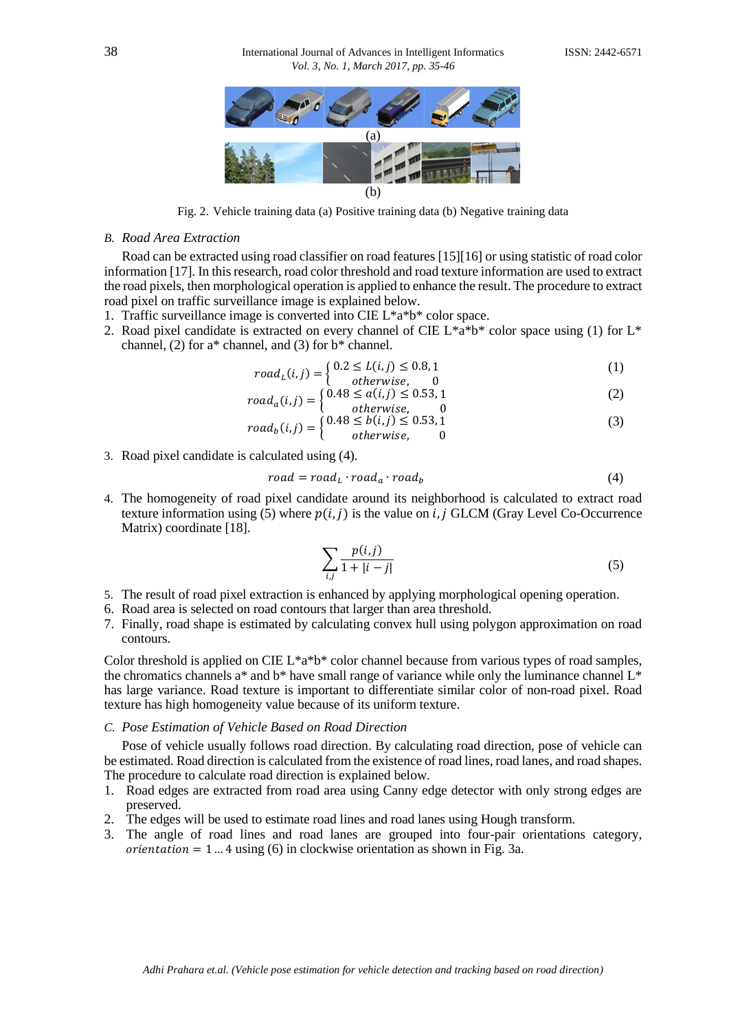

Fig. 2. Vehicle training data (a) Positive training data (b) Negative training data

#### *B. Road Area Extraction*

Road can be extracted using road classifier on road features [15][16] or using statistic of road color information [17]. In this research, road color threshold and road texture information are used to extract the road pixels, then morphological operation is applied to enhance the result. The procedure to extract road pixel on traffic surveillance image is explained below.

- 1. Traffic surveillance image is converted into CIE L\*a\*b\* color space.
- 2. Road pixel candidate is extracted on every channel of CIE  $L^*a^*b^*$  color space using (1) for  $L^*$ channel, (2) for a\* channel, and (3) for b\* channel.

$$
roadL(i,j) = \begin{cases} 0.2 \le L(i,j) \le 0.8, 1\\ \text{otherwise} \end{cases}
$$
 (1)

$$
road_a(i,j) = \begin{cases} 0.48 \le a(i,j) \le 0.53, 1\\ \text{otherwise} \end{cases}
$$
 (2)

$$
roadb(i,j) =\n\begin{cases}\n0.48 \le b(i,j) \le 0.53, 1 \\
otherwise, 0\n\end{cases}
$$
\n(3)

3. Road pixel candidate is calculated using (4).

$$
road = roadL \cdot roada \cdot roadb
$$
 (4)

4. The homogeneity of road pixel candidate around its neighborhood is calculated to extract road texture information using (5) where  $p(i, j)$  is the value on i, j GLCM (Gray Level Co-Occurrence Matrix) coordinate [18].

$$
\sum_{i,j} \frac{p(i,j)}{1+|i-j|} \tag{5}
$$

- 5. The result of road pixel extraction is enhanced by applying morphological opening operation.
- 6. Road area is selected on road contours that larger than area threshold.
- 7. Finally, road shape is estimated by calculating convex hull using polygon approximation on road contours.

Color threshold is applied on CIE L\*a\*b\* color channel because from various types of road samples, the chromatics channels a\* and b\* have small range of variance while only the luminance channel  $L^*$ has large variance. Road texture is important to differentiate similar color of non-road pixel. Road texture has high homogeneity value because of its uniform texture.

#### *C. Pose Estimation of Vehicle Based on Road Direction*

Pose of vehicle usually follows road direction. By calculating road direction, pose of vehicle can be estimated. Road direction is calculated from the existence of road lines, road lanes, and road shapes. The procedure to calculate road direction is explained below.

- 1. Road edges are extracted from road area using Canny edge detector with only strong edges are preserved.
- 2. The edges will be used to estimate road lines and road lanes using Hough transform.
- 3. The angle of road lines and road lanes are grouped into four-pair orientations category, *orientation* = 1 ... 4 using (6) in clockwise orientation as shown in Fig. 3a.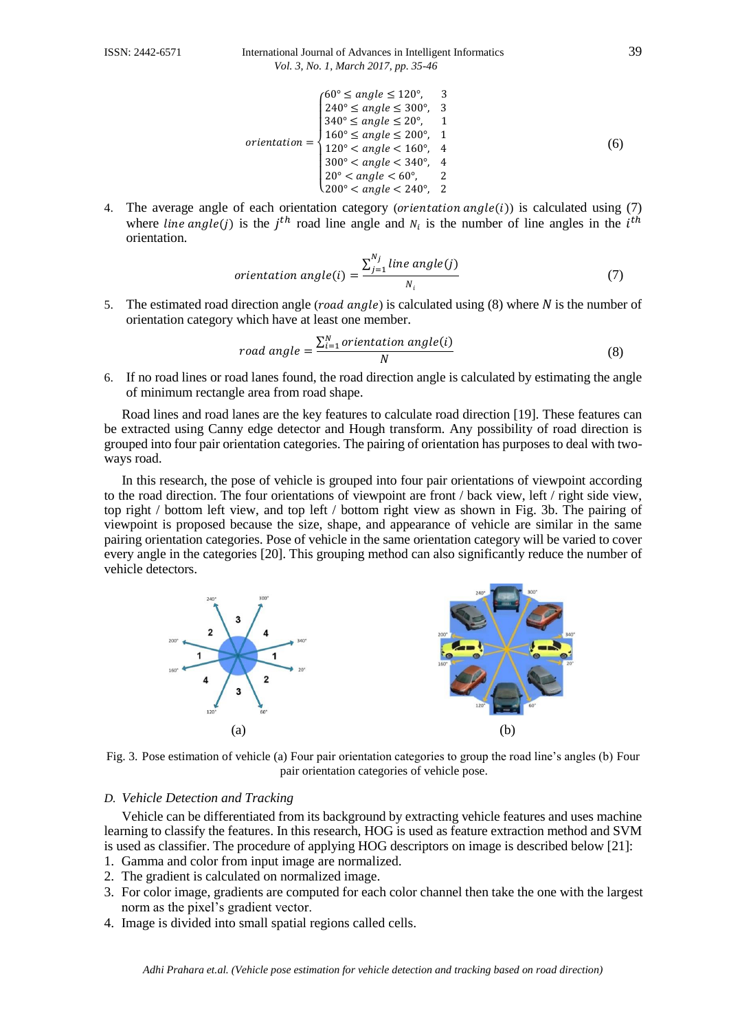$$
orientation = \begin{cases} 60^{\circ} \le angle \le 120^{\circ}, & 3\\ 240^{\circ} \le angle \le 300^{\circ}, & 3\\ 340^{\circ} \le angle \le 20^{\circ}, & 1\\ 160^{\circ} \le angle \le 200^{\circ}, & 1\\ 120^{\circ} \le angle \le 160^{\circ}, & 4\\ 300^{\circ} \le angle \le 340^{\circ}, & 4\\ 20^{\circ} \le angle \le 60^{\circ}, & 2\\ 200^{\circ} \le angle \le 240^{\circ}, & 2 \end{cases} \tag{6}
$$

4. The average angle of each orientation category (*orientation angle*(*i*)) is calculated using (7) where *line* angle(*j*) is the *j*<sup>th</sup> road line angle and  $N_i$  is the number of line angles in the *i*<sup>th</sup> orientation.

*orientation angle(i)* = 
$$
\frac{\sum_{j=1}^{N_j} line \ angle(j)}{N_i}
$$
 (7)

5. The estimated road direction angle (*road angle*) is calculated using  $(8)$  where N is the number of orientation category which have at least one member.

$$
road angle = \frac{\sum_{i=1}^{N} orientation angle(i)}{N}
$$
 (8)

6. If no road lines or road lanes found, the road direction angle is calculated by estimating the angle of minimum rectangle area from road shape.

Road lines and road lanes are the key features to calculate road direction [19]. These features can be extracted using Canny edge detector and Hough transform. Any possibility of road direction is grouped into four pair orientation categories. The pairing of orientation has purposes to deal with twoways road.

In this research, the pose of vehicle is grouped into four pair orientations of viewpoint according to the road direction. The four orientations of viewpoint are front / back view, left / right side view, top right / bottom left view, and top left / bottom right view as shown in Fig. 3b. The pairing of viewpoint is proposed because the size, shape, and appearance of vehicle are similar in the same pairing orientation categories. Pose of vehicle in the same orientation category will be varied to cover every angle in the categories [20]. This grouping method can also significantly reduce the number of vehicle detectors.



Fig. 3. Pose estimation of vehicle (a) Four pair orientation categories to group the road line's angles (b) Four pair orientation categories of vehicle pose.

# *D. Vehicle Detection and Tracking*

Vehicle can be differentiated from its background by extracting vehicle features and uses machine learning to classify the features. In this research, HOG is used as feature extraction method and SVM is used as classifier. The procedure of applying HOG descriptors on image is described below [21]:

- 1. Gamma and color from input image are normalized.
- 2. The gradient is calculated on normalized image.
- 3. For color image, gradients are computed for each color channel then take the one with the largest norm as the pixel's gradient vector.
- 4. Image is divided into small spatial regions called cells.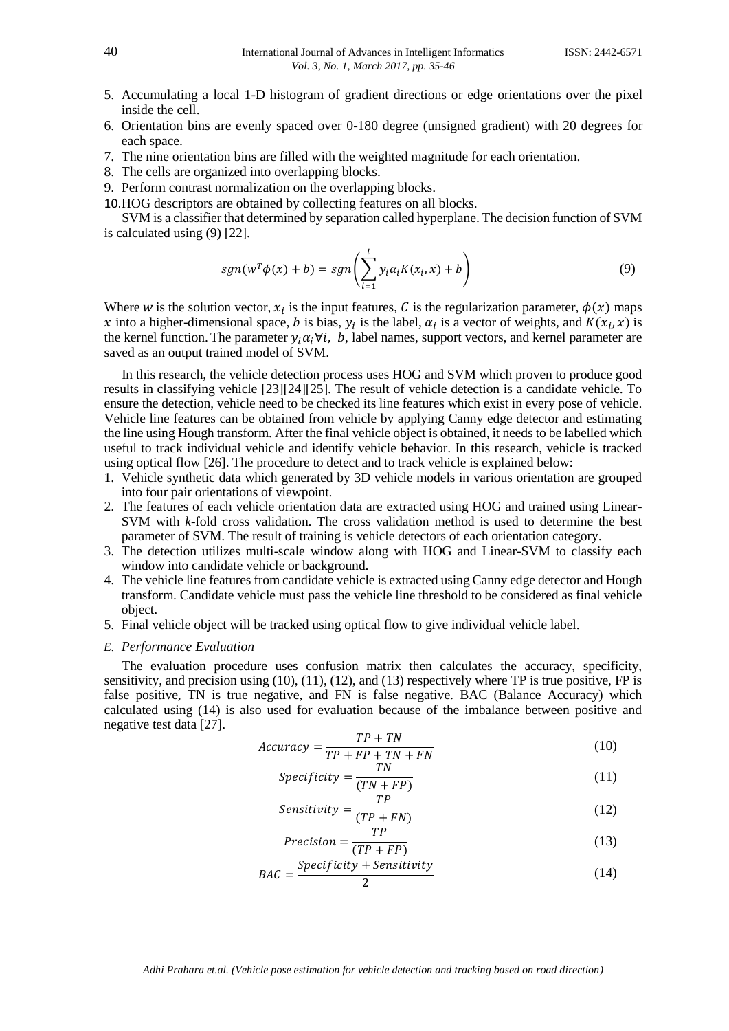- 5. Accumulating a local 1-D histogram of gradient directions or edge orientations over the pixel inside the cell.
- 6. Orientation bins are evenly spaced over 0-180 degree (unsigned gradient) with 20 degrees for each space.
- 7. The nine orientation bins are filled with the weighted magnitude for each orientation.
- 8. The cells are organized into overlapping blocks.
- 9. Perform contrast normalization on the overlapping blocks.
- 10.HOG descriptors are obtained by collecting features on all blocks.

SVM is a classifier that determined by separation called hyperplane. The decision function of SVM is calculated using (9) [22].

$$
sgn(w^T\phi(x) + b) = sgn\left(\sum_{i=1}^l y_i \alpha_i K(x_i, x) + b\right)
$$
\n(9)

Where w is the solution vector,  $x_i$  is the input features, C is the regularization parameter,  $\phi(x)$  maps x into a higher-dimensional space, b is bias,  $y_i$  is the label,  $\alpha_i$  is a vector of weights, and  $K(x_i, x)$  is the kernel function. The parameter  $y_i \alpha_i \forall i$ , b, label names, support vectors, and kernel parameter are saved as an output trained model of SVM.

In this research, the vehicle detection process uses HOG and SVM which proven to produce good results in classifying vehicle [23][24][25]. The result of vehicle detection is a candidate vehicle. To ensure the detection, vehicle need to be checked its line features which exist in every pose of vehicle. Vehicle line features can be obtained from vehicle by applying Canny edge detector and estimating the line using Hough transform. After the final vehicle object is obtained, it needs to be labelled which useful to track individual vehicle and identify vehicle behavior. In this research, vehicle is tracked using optical flow [26]. The procedure to detect and to track vehicle is explained below:

- 1. Vehicle synthetic data which generated by 3D vehicle models in various orientation are grouped into four pair orientations of viewpoint.
- 2. The features of each vehicle orientation data are extracted using HOG and trained using Linear-SVM with *k*-fold cross validation. The cross validation method is used to determine the best parameter of SVM. The result of training is vehicle detectors of each orientation category.
- 3. The detection utilizes multi-scale window along with HOG and Linear-SVM to classify each window into candidate vehicle or background.
- 4. The vehicle line features from candidate vehicle is extracted using Canny edge detector and Hough transform. Candidate vehicle must pass the vehicle line threshold to be considered as final vehicle object.
- 5. Final vehicle object will be tracked using optical flow to give individual vehicle label.

#### *E. Performance Evaluation*

The evaluation procedure uses confusion matrix then calculates the accuracy, specificity, sensitivity, and precision using  $(10)$ ,  $(11)$ ,  $(12)$ , and  $(13)$  respectively where TP is true positive, FP is false positive, TN is true negative, and FN is false negative. BAC (Balance Accuracy) which calculated using (14) is also used for evaluation because of the imbalance between positive and negative test data [27].

$$
Accuracy = \frac{TP + TN}{TP + FP + TN + FN}
$$
 (10)

$$
Specificity = \frac{TN}{(TN + FP)}
$$
\n(11)

$$
Sensitivity = \frac{IP}{(TP + FN)}
$$
 (12)

$$
Precision = \frac{TP}{(TP + FP)}
$$
\n(13)

$$
BAC = \frac{Specificity + Sensitivity}{2}
$$
 (14)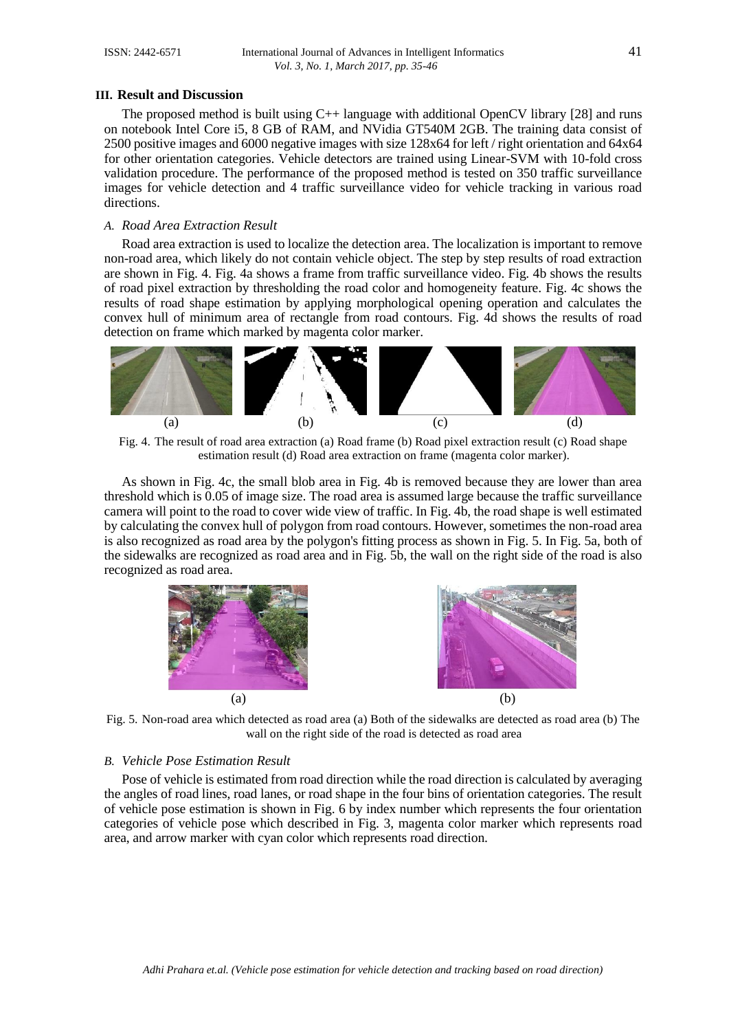#### **III. Result and Discussion**

The proposed method is built using C++ language with additional OpenCV library [28] and runs on notebook Intel Core i5, 8 GB of RAM, and NVidia GT540M 2GB. The training data consist of 2500 positive images and 6000 negative images with size 128x64 for left / right orientation and 64x64 for other orientation categories. Vehicle detectors are trained using Linear-SVM with 10-fold cross validation procedure. The performance of the proposed method is tested on 350 traffic surveillance images for vehicle detection and 4 traffic surveillance video for vehicle tracking in various road directions.

#### *A. Road Area Extraction Result*

Road area extraction is used to localize the detection area. The localization is important to remove non-road area, which likely do not contain vehicle object. The step by step results of road extraction are shown in Fig. 4. Fig. 4a shows a frame from traffic surveillance video. Fig. 4b shows the results of road pixel extraction by thresholding the road color and homogeneity feature. Fig. 4c shows the results of road shape estimation by applying morphological opening operation and calculates the convex hull of minimum area of rectangle from road contours. Fig. 4d shows the results of road detection on frame which marked by magenta color marker.



Fig. 4. The result of road area extraction (a) Road frame (b) Road pixel extraction result (c) Road shape estimation result (d) Road area extraction on frame (magenta color marker).

As shown in Fig. 4c, the small blob area in Fig. 4b is removed because they are lower than area threshold which is 0.05 of image size. The road area is assumed large because the traffic surveillance camera will point to the road to cover wide view of traffic. In Fig. 4b, the road shape is well estimated by calculating the convex hull of polygon from road contours. However, sometimes the non-road area is also recognized as road area by the polygon's fitting process as shown in Fig. 5. In Fig. 5a, both of the sidewalks are recognized as road area and in Fig. 5b, the wall on the right side of the road is also recognized as road area.



Fig. 5. Non-road area which detected as road area (a) Both of the sidewalks are detected as road area (b) The wall on the right side of the road is detected as road area

# *B. Vehicle Pose Estimation Result*

Pose of vehicle is estimated from road direction while the road direction is calculated by averaging the angles of road lines, road lanes, or road shape in the four bins of orientation categories. The result of vehicle pose estimation is shown in Fig. 6 by index number which represents the four orientation categories of vehicle pose which described in Fig. 3, magenta color marker which represents road area, and arrow marker with cyan color which represents road direction.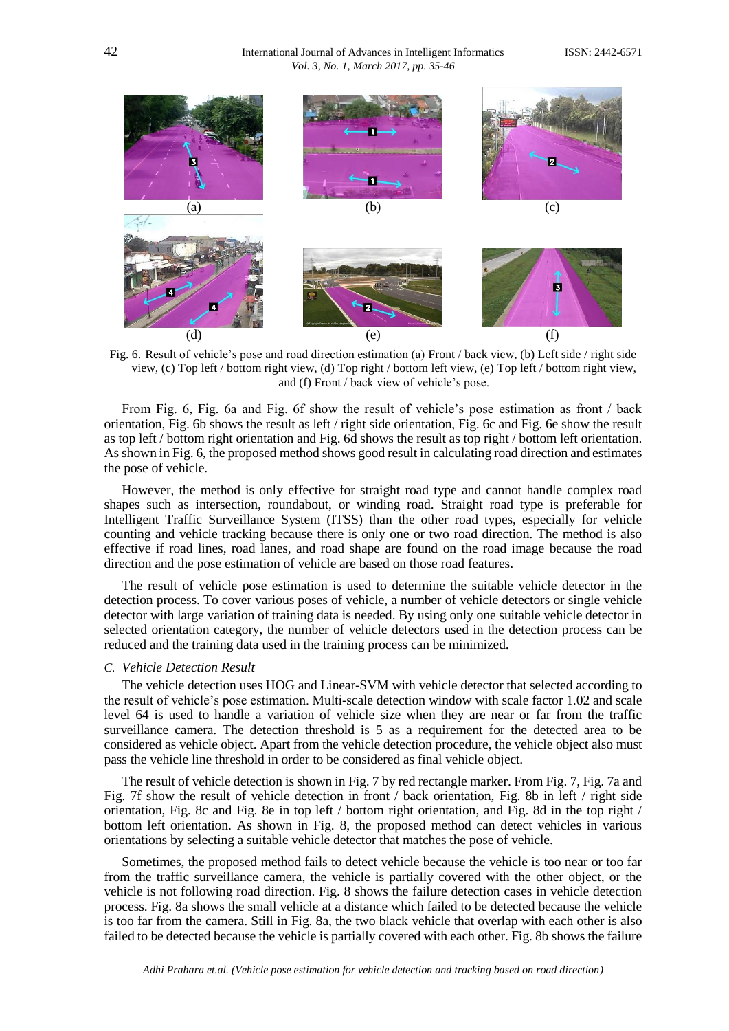

Fig. 6. Result of vehicle's pose and road direction estimation (a) Front / back view, (b) Left side / right side view, (c) Top left / bottom right view, (d) Top right / bottom left view, (e) Top left / bottom right view, and (f) Front / back view of vehicle's pose.

From Fig. 6, Fig. 6a and Fig. 6f show the result of vehicle's pose estimation as front / back orientation, Fig. 6b shows the result as left / right side orientation, Fig. 6c and Fig. 6e show the result as top left / bottom right orientation and Fig. 6d shows the result as top right / bottom left orientation. As shown in Fig. 6, the proposed method shows good result in calculating road direction and estimates the pose of vehicle.

However, the method is only effective for straight road type and cannot handle complex road shapes such as intersection, roundabout, or winding road. Straight road type is preferable for Intelligent Traffic Surveillance System (ITSS) than the other road types, especially for vehicle counting and vehicle tracking because there is only one or two road direction. The method is also effective if road lines, road lanes, and road shape are found on the road image because the road direction and the pose estimation of vehicle are based on those road features.

The result of vehicle pose estimation is used to determine the suitable vehicle detector in the detection process. To cover various poses of vehicle, a number of vehicle detectors or single vehicle detector with large variation of training data is needed. By using only one suitable vehicle detector in selected orientation category, the number of vehicle detectors used in the detection process can be reduced and the training data used in the training process can be minimized.

#### *C. Vehicle Detection Result*

The vehicle detection uses HOG and Linear-SVM with vehicle detector that selected according to the result of vehicle's pose estimation. Multi-scale detection window with scale factor 1.02 and scale level 64 is used to handle a variation of vehicle size when they are near or far from the traffic surveillance camera. The detection threshold is 5 as a requirement for the detected area to be considered as vehicle object. Apart from the vehicle detection procedure, the vehicle object also must pass the vehicle line threshold in order to be considered as final vehicle object.

The result of vehicle detection is shown in Fig. 7 by red rectangle marker. From Fig. 7, Fig. 7a and Fig. 7f show the result of vehicle detection in front / back orientation, Fig. 8b in left / right side orientation, Fig. 8c and Fig. 8e in top left / bottom right orientation, and Fig. 8d in the top right / bottom left orientation. As shown in Fig. 8, the proposed method can detect vehicles in various orientations by selecting a suitable vehicle detector that matches the pose of vehicle.

Sometimes, the proposed method fails to detect vehicle because the vehicle is too near or too far from the traffic surveillance camera, the vehicle is partially covered with the other object, or the vehicle is not following road direction. Fig. 8 shows the failure detection cases in vehicle detection process. Fig. 8a shows the small vehicle at a distance which failed to be detected because the vehicle is too far from the camera. Still in Fig. 8a, the two black vehicle that overlap with each other is also failed to be detected because the vehicle is partially covered with each other. Fig. 8b shows the failure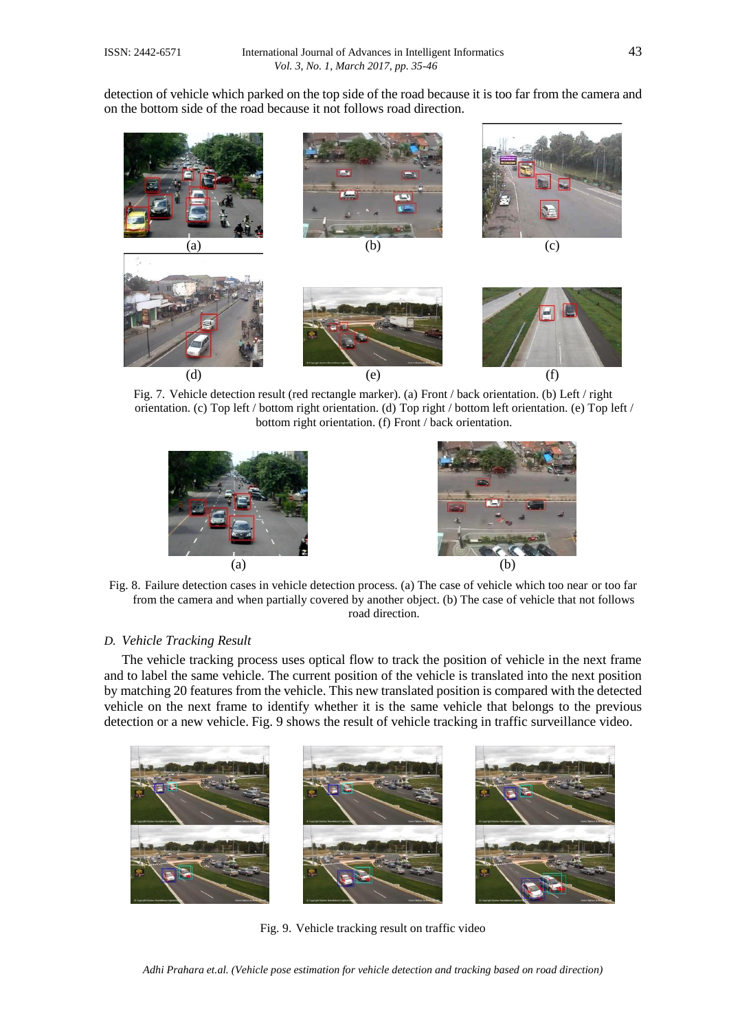detection of vehicle which parked on the top side of the road because it is too far from the camera and on the bottom side of the road because it not follows road direction.



Fig. 7. Vehicle detection result (red rectangle marker). (a) Front / back orientation. (b) Left / right orientation. (c) Top left / bottom right orientation. (d) Top right / bottom left orientation. (e) Top left / bottom right orientation. (f) Front / back orientation.





Fig. 8. Failure detection cases in vehicle detection process. (a) The case of vehicle which too near or too far from the camera and when partially covered by another object. (b) The case of vehicle that not follows road direction.

# *D. Vehicle Tracking Result*

The vehicle tracking process uses optical flow to track the position of vehicle in the next frame and to label the same vehicle. The current position of the vehicle is translated into the next position by matching 20 features from the vehicle. This new translated position is compared with the detected vehicle on the next frame to identify whether it is the same vehicle that belongs to the previous detection or a new vehicle. Fig. 9 shows the result of vehicle tracking in traffic surveillance video.



Fig. 9. Vehicle tracking result on traffic video

*Adhi Prahara et.al. (Vehicle pose estimation for vehicle detection and tracking based on road direction)*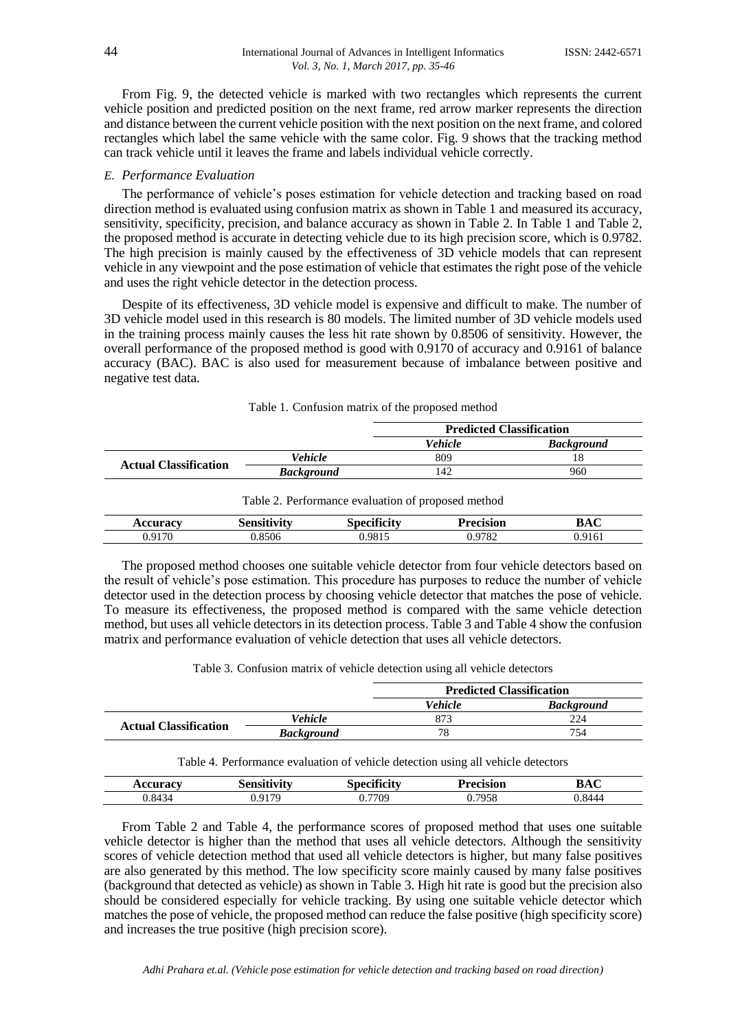From Fig. 9, the detected vehicle is marked with two rectangles which represents the current vehicle position and predicted position on the next frame, red arrow marker represents the direction and distance between the current vehicle position with the next position on the next frame, and colored rectangles which label the same vehicle with the same color. Fig. 9 shows that the tracking method can track vehicle until it leaves the frame and labels individual vehicle correctly.

#### *E. Performance Evaluation*

The performance of vehicle's poses estimation for vehicle detection and tracking based on road direction method is evaluated using confusion matrix as shown in Table 1 and measured its accuracy, sensitivity, specificity, precision, and balance accuracy as shown in Table 2. In Table 1 and Table 2, the proposed method is accurate in detecting vehicle due to its high precision score, which is 0.9782. The high precision is mainly caused by the effectiveness of 3D vehicle models that can represent vehicle in any viewpoint and the pose estimation of vehicle that estimates the right pose of the vehicle and uses the right vehicle detector in the detection process.

Despite of its effectiveness, 3D vehicle model is expensive and difficult to make. The number of 3D vehicle model used in this research is 80 models. The limited number of 3D vehicle models used in the training process mainly causes the less hit rate shown by 0.8506 of sensitivity. However, the overall performance of the proposed method is good with 0.9170 of accuracy and 0.9161 of balance accuracy (BAC). BAC is also used for measurement because of imbalance between positive and negative test data.

|                              |                   | <b>Predicted Classification</b> |                   |
|------------------------------|-------------------|---------------------------------|-------------------|
|                              |                   | Vehicle                         | <b>Background</b> |
| <b>Actual Classification</b> | <b>Vehicle</b>    | 809                             |                   |
|                              | <b>Background</b> | 142                             | 960               |

| Table 2. Performance evaluation of proposed method |                    |             |                  |        |  |
|----------------------------------------------------|--------------------|-------------|------------------|--------|--|
| <b>Accuracy</b>                                    | <b>Sensitivity</b> | Specificity | <b>Precision</b> | BAC    |  |
| 0.9170                                             | 0.8506             | 0.9815      | 0.9782           | 0.9161 |  |

The proposed method chooses one suitable vehicle detector from four vehicle detectors based on the result of vehicle's pose estimation. This procedure has purposes to reduce the number of vehicle detector used in the detection process by choosing vehicle detector that matches the pose of vehicle. To measure its effectiveness, the proposed method is compared with the same vehicle detection method, but uses all vehicle detectors in its detection process. Table 3 and Table 4 show the confusion matrix and performance evaluation of vehicle detection that uses all vehicle detectors.

Table 3. Confusion matrix of vehicle detection using all vehicle detectors

|                              |                   | <b>Predicted Classification</b> |                   |
|------------------------------|-------------------|---------------------------------|-------------------|
|                              |                   | <b>Vehicle</b>                  | <b>Background</b> |
| <b>Actual Classification</b> | <b>Vehicle</b>    |                                 | 224               |
|                              | <b>Background</b> | 78                              | 754               |

Table 4. Performance evaluation of vehicle detection using all vehicle detectors

| ıracv<br>. | .<br>$\sim$ 0.000 $\sim$ $\sim$ | <br>. | recision | $\sim$<br>DA.<br>DAU |
|------------|---------------------------------|-------|----------|----------------------|
| 0.8434     | 0170                            | .7709 | 7058     | $\Omega$             |
|            | $\overline{\phantom{a}}$        | ∪. ≀  | 938      | $\overline{ }$       |

From Table 2 and Table 4, the performance scores of proposed method that uses one suitable vehicle detector is higher than the method that uses all vehicle detectors. Although the sensitivity scores of vehicle detection method that used all vehicle detectors is higher, but many false positives are also generated by this method. The low specificity score mainly caused by many false positives (background that detected as vehicle) as shown in Table 3. High hit rate is good but the precision also should be considered especially for vehicle tracking. By using one suitable vehicle detector which matches the pose of vehicle, the proposed method can reduce the false positive (high specificity score) and increases the true positive (high precision score).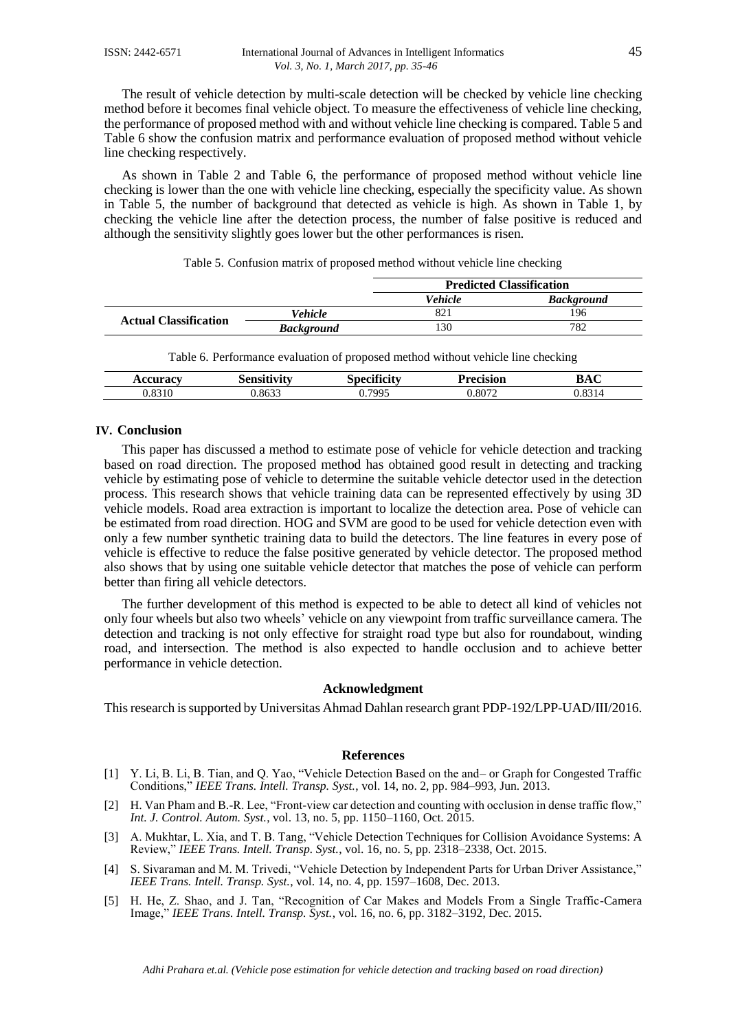The result of vehicle detection by multi-scale detection will be checked by vehicle line checking method before it becomes final vehicle object. To measure the effectiveness of vehicle line checking, the performance of proposed method with and without vehicle line checking is compared. Table 5 and Table 6 show the confusion matrix and performance evaluation of proposed method without vehicle line checking respectively.

As shown in Table 2 and Table 6, the performance of proposed method without vehicle line checking is lower than the one with vehicle line checking, especially the specificity value. As shown in Table 5, the number of background that detected as vehicle is high. As shown in Table 1, by checking the vehicle line after the detection process, the number of false positive is reduced and although the sensitivity slightly goes lower but the other performances is risen.

|                              |                   | <b>Predicted Classification</b> |                   |
|------------------------------|-------------------|---------------------------------|-------------------|
|                              |                   | <b>Vehicle</b>                  | <b>Background</b> |
| <b>Actual Classification</b> | <b>Vehicle</b>    | 821                             | 196               |
|                              | <b>Background</b> | 30ء                             | 782               |

| Table 5. Confusion matrix of proposed method without vehicle line checking |  |
|----------------------------------------------------------------------------|--|
|----------------------------------------------------------------------------|--|

Table 6. Performance evaluation of proposed method without vehicle line checking

| $0.011$ PO $0.57$<br>. . |       | $\sim$<br><br>. | <b>D</b> <sub>propins</sub><br>экл | DA.  |
|--------------------------|-------|-----------------|------------------------------------|------|
| ററ                       | .863? | 7005            | 0.8072                             | 02 1 |

#### **IV. Conclusion**

This paper has discussed a method to estimate pose of vehicle for vehicle detection and tracking based on road direction. The proposed method has obtained good result in detecting and tracking vehicle by estimating pose of vehicle to determine the suitable vehicle detector used in the detection process. This research shows that vehicle training data can be represented effectively by using 3D vehicle models. Road area extraction is important to localize the detection area. Pose of vehicle can be estimated from road direction. HOG and SVM are good to be used for vehicle detection even with only a few number synthetic training data to build the detectors. The line features in every pose of vehicle is effective to reduce the false positive generated by vehicle detector. The proposed method also shows that by using one suitable vehicle detector that matches the pose of vehicle can perform better than firing all vehicle detectors.

The further development of this method is expected to be able to detect all kind of vehicles not only four wheels but also two wheels' vehicle on any viewpoint from traffic surveillance camera. The detection and tracking is not only effective for straight road type but also for roundabout, winding road, and intersection. The method is also expected to handle occlusion and to achieve better performance in vehicle detection.

#### **Acknowledgment**

This research is supported by Universitas Ahmad Dahlan research grant PDP-192/LPP-UAD/III/2016.

#### **References**

- [1] Y. Li, B. Li, B. Tian, and Q. Yao, "Vehicle Detection Based on the and– or Graph for Congested Traffic Conditions," *IEEE Trans. Intell. Transp. Syst.*, vol. 14, no. 2, pp. 984–993, Jun. 2013.
- [2] H. Van Pham and B.-R. Lee, "Front-view car detection and counting with occlusion in dense traffic flow," *Int. J. Control. Autom. Syst.*, vol. 13, no. 5, pp. 1150–1160, Oct. 2015.
- [3] A. Mukhtar, L. Xia, and T. B. Tang, "Vehicle Detection Techniques for Collision Avoidance Systems: A Review," *IEEE Trans. Intell. Transp. Syst.*, vol. 16, no. 5, pp. 2318–2338, Oct. 2015.
- [4] S. Sivaraman and M. M. Trivedi, "Vehicle Detection by Independent Parts for Urban Driver Assistance," *IEEE Trans. Intell. Transp. Syst.*, vol. 14, no. 4, pp. 1597–1608, Dec. 2013.
- [5] H. He, Z. Shao, and J. Tan, "Recognition of Car Makes and Models From a Single Traffic-Camera Image," *IEEE Trans. Intell. Transp. Syst.*, vol. 16, no. 6, pp. 3182–3192, Dec. 2015.